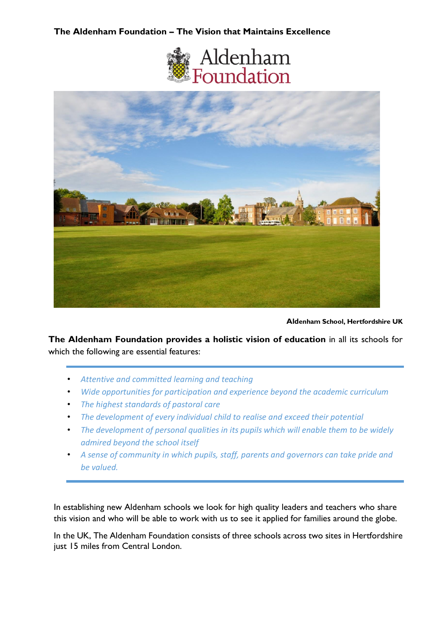## **The Aldenham Foundation – The Vision that Maintains Excellence**





**Aldenham School, Hertfordshire UK**

**The Aldenham Foundation provides a holistic vision of education** in all its schools for which the following are essential features:

- *Attentive and committed learning and teaching*
- *Wide opportunities for participation and experience beyond the academic curriculum*
- *The highest standards of pastoral care*
- *The development of every individual child to realise and exceed their potential*
- *The development of personal qualities in its pupils which will enable them to be widely admired beyond the school itself*
- *A sense of community in which pupils, staff, parents and governors can take pride and be valued.*

In establishing new Aldenham schools we look for high quality leaders and teachers who share this vision and who will be able to work with us to see it applied for families around the globe.

In the UK, The Aldenham Foundation consists of three schools across two sites in Hertfordshire just 15 miles from Central London.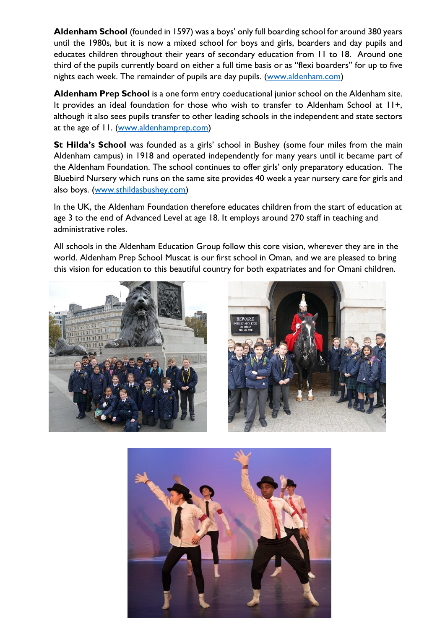**Aldenham School** (founded in 1597) was a boys' only full boarding school for around 380 years until the 1980s, but it is now a mixed school for boys and girls, boarders and day pupils and educates children throughout their years of secondary education from 11 to 18. Around one third of the pupils currently board on either a full time basis or as "flexi boarders" for up to five nights each week. The remainder of pupils are day pupils. [\(www.aldenham.com\)](file:///G:/Shared%20drives/Worldteachers%20Office/Schools/Schools%20in%20Middle%20East/Oman%20Schools/Aldenham/www.aldenham.com)

**Aldenham Prep School** is a one form entry coeducational junior school on the Aldenham site. It provides an ideal foundation for those who wish to transfer to Aldenham School at 11+, although it also sees pupils transfer to other leading schools in the independent and state sectors at the age of 11. [\(www.aldenhamprep.com\)](file:///G:/Shared%20drives/Worldteachers%20Office/Schools/Schools%20in%20Middle%20East/Oman%20Schools/Aldenham/www.aldenhamprep.com)

**St Hilda's School** was founded as a girls' school in Bushey (some four miles from the main Aldenham campus) in 1918 and operated independently for many years until it became part of the Aldenham Foundation. The school continues to offer girls' only preparatory education. The Bluebird Nursery which runs on the same site provides 40 week a year nursery care for girls and also boys. [\(www.sthildasbushey.com\)](file:///G:/Shared%20drives/Worldteachers%20Office/Schools/Schools%20in%20Middle%20East/Oman%20Schools/Aldenham/www.sthildasbushey.com)

In the UK, the Aldenham Foundation therefore educates children from the start of education at age 3 to the end of Advanced Level at age 18. It employs around 270 staff in teaching and administrative roles.

All schools in the Aldenham Education Group follow this core vision, wherever they are in the world. Aldenham Prep School Muscat is our first school in Oman, and we are pleased to bring this vision for education to this beautiful country for both expatriates and for Omani children.